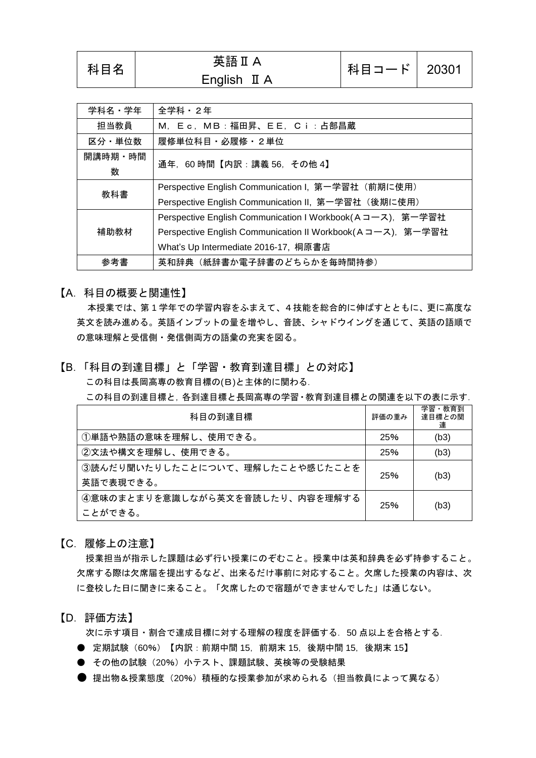## 英語Ⅱ A<br>科目名 英語Ⅱ A English II A

| 学科名・学年       | 全学科・2年                                                     |
|--------------|------------------------------------------------------------|
| 担当教員         | M, Ec, MB:福田昇、EE, Ci:占部昌蔵                                  |
| 区分·単位数       | 履修単位科目・必履修・2単位                                             |
| 開講時期・時間<br>数 | 通年, 60時間【内訳:講義 56, その他 4】                                  |
| 教科書          | Perspective English Communication I, 第一学習社 (前期に使用)         |
|              | Perspective English Communication II, 第一学習社 (後期に使用)        |
|              | Perspective English Communication I Workbook(Aコース), 第一学習社  |
| 補助教材         | Perspective English Communication II Workbook(Aコース), 第一学習社 |
|              | What's Up Intermediate 2016-17, 桐原書店                       |
| 参考書          | 英和辞典 (紙辞書か電子辞書のどちらかを毎時間持参)                                 |

【A.科目の概要と関連性】

本授業では、第 1 学年での学習内容をふまえて、4技能を総合的に伸ばすとともに、更に高度な 英文を読み進める。英語インプットの量を増やし、音読、シャドウイングを通じて、英語の語順で の意味理解と受信側・発信側両方の語彙の充実を図る。

#### 【B.「科目の到達目標」と「学習・教育到達目標」との対応】 この科目は長岡高専の教育目標の(B)と主体的に関わる.

この科目の到達目標と,各到達目標と長岡高専の学習・教育到達目標との関連を以下の表に示す.

| 科目の到達目標                         | 評価の重み | 学習・教育到<br>達目標との関<br>連 |
|---------------------------------|-------|-----------------------|
| ①単語や熟語の意味を理解し、使用できる。            | 25%   | (b3)                  |
| ②文法や構文を理解し、使用できる。               | 25%   | (b3)                  |
| 3読んだり聞いたりしたことについて、理解したことや感じたことを | 25%   | (b3)                  |
| 英語で表現できる。                       |       |                       |
| ④意味のまとまりを意識しながら英文を音読したり、内容を理解する | 25%   | (b3)                  |
| ことができる。                         |       |                       |

【C.履修上の注意】

授業担当が指示した課題は必ず行い授業にのぞむこと。授業中は英和辞典を必ず持参すること。 欠席する際は欠席届を提出するなど、出来るだけ事前に対応すること。欠席した授業の内容は、次 に登校した日に聞きに来ること。「欠席したので宿題ができませんでした」は通じない。

#### 【D.評価方法】

次に示す項目・割合で達成目標に対する理解の程度を評価する.50 点以上を合格とする.

- 定期試験 (60%) 【内訳:前期中間 15, 前期末 15, 後期中間 15, 後期末 15】
- その他の試験 (20%) 小テスト、課題試験、英検等の受験結果
- 提出物&授業態度 (20%) 積極的な授業参加が求められる (担当教員によって異なる)